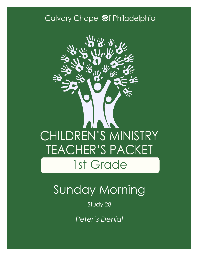### Calvary Chapel @f Philadelphia



# Sunday Morning

### Study 28

*Peter's Denial*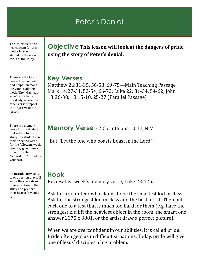### Peter's Denial

The Objective is the key concept for this weeks lesson. It should be the main focus of the study

These are the key verses that you will find helpful in teaching your study this week. The "Main passage" is the basis of the study, where the other verse support the objective of the lesson.

There is a memory verse for the students that relates to every study. If a student can memorize the verse for the following week you may give them a prize from the "reward box" found on your cart.

An introductory activity or question that will settle the class, draw their attention to the study and prepare their hearts for God's Word.

**Objective This lesson will look at the dangers of pride using the story of Peter's denial.**

#### **Key Verses**

Matthew 26:31-35, 56-58, 69-75—Main Teaching Passage Mark 14:27-31, 53-54, 66-72; Luke 22: 31-34, 54-62; John 13:36-38; 18:15-18, 25-27 (Parallel Passage)

#### **Memory Verse** - 2 Corinthians 10:17, NIV

"But, 'Let the one who boasts boast in the Lord.'"

#### **Hook**

Review last week's memory verse, Luke 22:42b.

Ask for a volunteer who claims to be the smartest kid in class. Ask for the strongest kid in class and the best artist. Then put each one to a test that is much too hard for them (e.g. have the strongest kid lift the heaviest object in the room, the smart one answer 2375 x 3881, or the artist draw a perfect picture).

When we are overconfident in our abilities, it is called pride. Pride often gets us in difficult situations. Today, pride will give one of Jesus' disciples a big problem.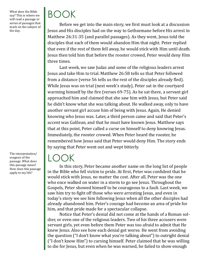What does the Bible say? This is where we will read a passage or series of passages that teach on the subject of the day.

The interpretation/ exegesis of the passage. What does this passage mean? How does this passage apply to my life?

# BOOK

Before we get into the main story, we first must look at a discussion Jesus and His disciples had on the way to Gethsemane before His arrest in Matthew 26:31-35 (and parallel passages). As they went, Jesus told the disciples that each of them would abandon Him that night. Peter replied that even if the rest of them fell away, he would stick with Him until death. Jesus then told him that before the rooster crowed, Peter would deny Him three times.

Last week, we saw Judas and some of the religious leaders arrest Jesus and take Him to trial. Matthew 26:58 tells us that Peter followed from a distance (verse 56 tells us the rest of the disciples already fled). While Jesus was on trial (next week's study), Peter sat in the courtyard warming himself by the fire (verses 69-75). As he sat there, a servant girl approached him and claimed that she saw him with Jesus, but Peter said he didn't know what she was talking about. He walked away, only to have another servant girl accuse him of being with Jesus. Again, He denied knowing who Jesus was. Later, a third person came and said that Peter's accent was Galilean, and that he must have known Jesus. Matthew says that at this point, Peter called a curse on himself to deny knowing Jesus. Immediately, the rooster crowed. When Peter heard the rooster, he remembered how Jesus said that Peter would deny Him. The story ends by saying that Peter went out and wept bitterly.

## LOOK

In this story, Peter became another name on the long list of people in the Bible who fell victim to pride. At first, Peter was confident that he would stick with Jesus, no matter the cost. After all, Peter was the one who once walked on water in a storm to go see Jesus. Throughout the Gospels, Peter showed himself to be courageous to a fault. Last week, we saw him try to fight off those who were arresting Jesus, and even in today's story we see him following Jesus when all the other disciples had already abandoned him. Peter's courage had become an area of pride for him, and that pride made for a spectacular collapse.

Notice that Peter's denial did not come at the hands of a Roman soldier, or even one of the religious leaders. Two of his three accusers were servant girls, yet even before them Peter was too afraid to admit that He knew Jesus. Also see how each denial got worse. He went from avoiding the question ("I don't know what you're talking about") to outright denial ("I don't know Him") to cursing himself. Peter claimed that he was willing to die for Jesus, but even when he was warned, he failed to show enough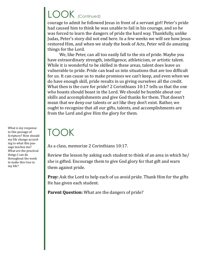# LOOK (Continued)

courage to admit he followed Jesus in front of a servant girl! Peter's pride had caused him to think he was unable to fail in his courage, and so he was forced to learn the dangers of pride the hard way. Thankfully, unlike Judas, Peter's story did not end here. In a few weeks we will see how Jesus restored Him, and when we study the book of Acts, Peter will do amazing things for the Lord.

We, like Peter, can all too easily fall to the sin of pride. Maybe you have extraordinary strength, intelligence, athleticism, or artistic talent. While it is wonderful to be skilled in these areas, talent does leave us vulnerable to pride. Pride can lead us into situations that are too difficult for us. It can cause us to make promises we can't keep, and even when we do have enough skill, pride results in us giving ourselves all the credit. What then is the cure for pride? 2 Corinthians 10:17 tells us that the one who boasts should boast in the Lord. We should be humble about our skills and accomplishments and give God thanks for them. That doesn't mean that we deny our talents or act like they don't exist. Rather, we ought to recognize that all our gifts, talents, and accomplishments are from the Lord and give Him the glory for them.

## TOOK

As a class, memorize 2 Corinthians 10:17.

Review the lesson by asking each student to think of an area in which he/ she is gifted. Encourage them to give God glory for that gift and warn them against pride.

**Pray:** Ask the Lord to help each of us avoid pride. Thank Him for the gifts He has given each student.

**Parent Question:** What are the dangers of pride?

What is my response to this passage of Scripture? How should my life change according to what this passage teaches me? What are the practical things I can do throughout the week to make this true in my life?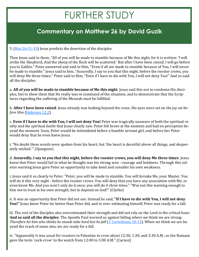## FURTHER STUDY

### **Commentary on Matthew 26 by David Guzik**

5. [\(Mat 26:31](https://www.blueletterbible.org/kjv/matthew/26/31-35/s_955031)-35) Jesus predicts the desertion of the disciples.

Then Jesus said to them, "All of you will be made to stumble because of Me this night, for it is written: 'I will strike the Shepherd, And the sheep of the flock will be scattered.' But after I have been raised, I will go before you to Galilee." Peter answered and said to Him, "Even if all are made to stumble because of You, I will never be made to stumble." Jesus said to him, "Assuredly, I say to you that this night, before the rooster crows, you will deny Me three times." Peter said to Him, "Even if I have to die with You, I will not deny You!" And so said all the disciples.

a. **All of you will be made to stumble because of Me this night**: Jesus said this not to condemn His disciples, but to show them that He really was in command of the situation, and to demonstrate that the Scriptures regarding the suffering of the Messiah *must* be fulfilled.

b. **After I have been raised**: Jesus already was looking beyond the cross. His eyes were set on *the joy set before Him* ([Hebrews 12:2\).](https://www.blueletterbible.org/kjv/hebrews/12/2/s_1145002)

c. **Even if I have to die with You, I will not deny You!** Peter was tragically unaware of both the spiritual *reality* and the spiritual *battle* that Jesus clearly saw. Peter felt brave at the moment and had no perception beyond the moment. Soon, Peter would be intimidated before a humble servant girl, and before her Peter would deny that he even knew Jesus.

i. "No doubt these words were spoken from his heart; but 'the heart is deceitful above all things, and desperately wicked.'" (Spurgeon)

d. **Assuredly, I say to you that this night, before the rooster crows, you will deny Me three times**: Jesus knew that Peter would fail in what he thought was his strong area - courage and boldness. Through this solemn warning Jesus gave Peter an opportunity to take heed and consider his own weakness.

i. Jesus said it so clearly to Peter. "Peter, you will be made to stumble. You will forsake Me, your Master. You will do it this very night - before the rooster crows. You will deny that you have any association with Me, or even know Me. And you won't only do it once; you will do it *three times*." "Was not this warning enough to him not to trust in his own strength, but to depend on God?" (Clarke)

ii. It was an opportunity that Peter did not use. Instead he said, **"If I have to die with You, I will not deny You!"** Jesus knew Peter far better than Peter did, and in over-estimating himself, Peter was ready for a fall.

iii. The rest of the disciples also overestimated their strength and did not rely on the Lord in the critical hour: **And so said all the disciples**. The Apostle Paul warned us against falling where we think we are strong: *Therefore let him who thinks he stands take heed lest he fall* ([1 Corinthians 10:12\)](https://www.blueletterbible.org/kjv/1corinthians/10/12/s_1072012). When we think we are beyond the reach of some sins, we are ready for a fall.

iv. "Apparently it was usual for roosters in Palestine to crow about 12:30, 1:30, and 2:30 A.M.; so the Romans gave the term 'cock-crow' to the watch from 12:00 to 3:00 A.M." (Carson)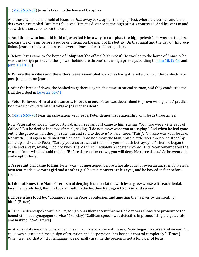1. ([Mat 26:57](https://www.blueletterbible.org/kjv/matthew/26/57-61/s_955057)-59) Jesus is taken to the home of Caiaphas.

And those who had laid hold of Jesus led *Him* away to Caiaphas the high priest, where the scribes and the elders were assembled. But Peter followed Him at a distance to the high priest's courtyard. And he went in and sat with the servants to see the end.

a. **And those who had laid hold of Jesus led Him away to Caiaphas the high priest**: This was not the first appearance of Jesus before a judge or official on the night of His betray. On that night and the day of His crucifixion, Jesus actually stood in trial several times before different judges.

i. Before Jesus came to the home of **Caiaphas** (the official high priest) He was led to the home of Annas, who was the ex-high priest and the "power behind the throne" of the high priest (according to [John 18:12](https://www.blueletterbible.org/kjv/john/18/12-14/s_1015012)-14 and [John 18:19](https://www.blueletterbible.org/kjv/john/18/19-23/s_1015019)-23).

b. **Where the scribes and the elders were assembled**: Caiaphas had gathered a group of the Sanhedrin to pass judgment on Jesus.

i. After the break of dawn, the Sanhedrin gathered again, this time in official session, and they conducted the trial described in [Luke 22:66](https://www.blueletterbible.org/kjv/luke/22/66-71/s_995066)-71.

c. **Peter followed Him at a distance … to see the end**: Peter was determined to prove wrong Jesus' prediction that He would deny and forsake Jesus at His death.

5. ([Mat 26:69](https://www.blueletterbible.org/kjv/matthew/26/69-75/s_955069)-75) Fearing association with Jesus, Peter denies his relationship with Jesus three times.

Now Peter sat outside in the courtyard. And a servant girl came to him, saying, "You also were with Jesus of Galilee." But he denied it before *them* all, saying, "I do not know what you are saying." And when he had gone out to the gateway, another *girl* saw him and said to those *who were* there, "This *fellow* also was with Jesus of Nazareth." But again he denied with an oath, "I do not know the Man!" And a little later those who stood by came up and said to Peter, "Surely you also are *one* of them, for your speech betrays you." Then he began to curse and swear, *saying,* "I do not know the Man!" Immediately a rooster crowed. And Peter remembered the word of Jesus who had said to him, "Before the rooster crows, you will deny Me three times." So he went out and wept bitterly.

a. **A servant girl came to him**: Peter was not questioned before a hostile court or even an angry mob. Peter's own fear made **a servant girl** and **another girl** hostile monsters in his eyes, and he bowed in fear before them.

b. **I do not know the Man!** Peter's sin of denying his association with Jesus grew worse with each denial. First, he merely lied; then he took an **oath** to the lie, then **he began to curse and swear**.

i. **Those who stood by**: "Loungers; seeing Peter's confusion, and amusing themselves by tormenting him." (Bruce)

ii. "The Galileans spoke with a burr; so ugly was their accent that no Galilean was allowed to pronounce the benediction at a synagogue service." (Barclay) "Galilean speech was defective in pronouncing the gutturals, and making " $n=v(Bruce)$ 

iii. And, as if it would help distance himself from association with Jesus, Peter **began to curse and swear**. "To call down curses on himself, sign of irritation and desperation; has lost self-control completely." (Bruce) When we hear that kind of language, we normally assume the person is not a follower of Jesus.